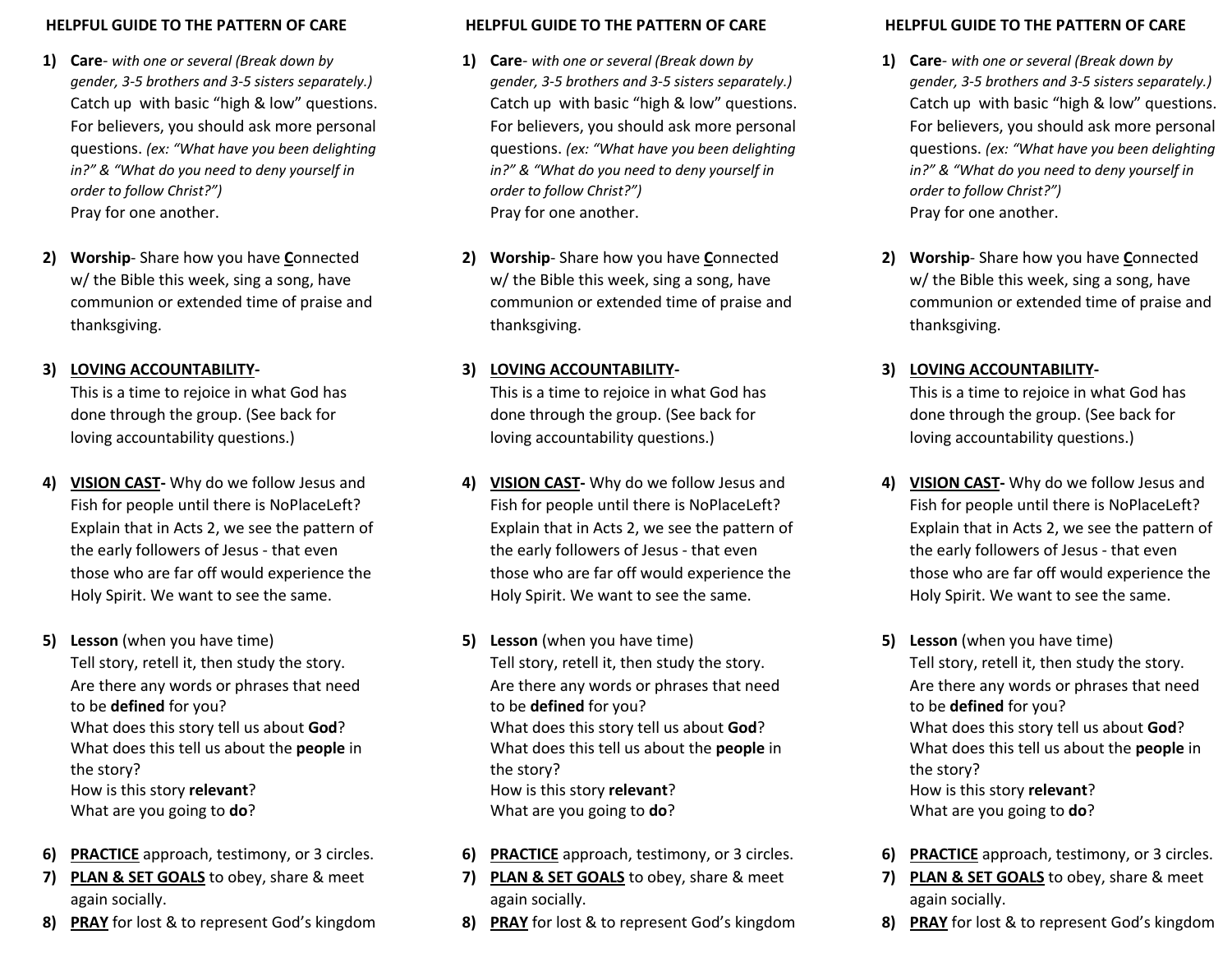#### **HELPFUL GUIDE TO THE PATTERN OF CARE**

- **1) Care** *with one or several (Break down by gender, 3-5 brothers and 3-5 sisters separately.)* Catch up with basic "high & low" questions. For believers, you should ask more personal questions. *(ex: "What have you been delighting in?" & "What do you need to deny yourself in order to follow Christ?")* Pray for one another.
- **2) Worship** Share how you have **C**onnected w/ the Bible this week, sing a song, have communion or extended time of praise and thanksgiving.

## **3) LOVING ACCOUNTABILITY-**

This is a time to rejoice in what God has done through the group. (See back for loving accountability questions.)

- **4) VISION CAST-** Why do we follow Jesus and Fish for people until there is NoPlaceLeft? Explain that in Acts 2, we see the pattern of the early followers of Jesus - that even those who are far off would experience the Holy Spirit. We want to see the same.
- **5) Lesson** (when you have time) Tell story, retell it, then study the story. Are there any words or phrases that need to be **defined** for you? What does this story tell us about **God**? What does this tell us about the **people** in the story? How is this story **relevant**? What are you going to **do**?
- **6) PRACTICE** approach, testimony, or 3 circles.
- **7) PLAN & SET GOALS** to obey, share & meet again socially.
- **8) PRAY** for lost & to represent God's kingdom

#### **HELPFUL GUIDE TO THE PATTERN OF CARE**

- **1) Care** *with one or several (Break down by gender, 3-5 brothers and 3-5 sisters separately.)* Catch up with basic "high & low" questions. For believers, you should ask more personal questions. *(ex: "What have you been delighting in?" & "What do you need to deny yourself in order to follow Christ?")* Pray for one another.
- **2) Worship** Share how you have **C**onnected w/ the Bible this week, sing a song, have communion or extended time of praise and thanksgiving.

## **3) LOVING ACCOUNTABILITY-**

This is a time to rejoice in what God has done through the group. (See back for loving accountability questions.)

- **4) VISION CAST-** Why do we follow Jesus and Fish for people until there is NoPlaceLeft? Explain that in Acts 2, we see the pattern of the early followers of Jesus - that even those who are far off would experience the Holy Spirit. We want to see the same.
- **5) Lesson** (when you have time) Tell story, retell it, then study the story. Are there any words or phrases that need to be **defined** for you? What does this story tell us about **God**? What does this tell us about the **people** in the story? How is this story **relevant**? What are you going to **do**?
- **6) PRACTICE** approach, testimony, or 3 circles.
- **7) PLAN & SET GOALS** to obey, share & meet again socially.
- **8) PRAY** for lost & to represent God's kingdom

#### **HELPFUL GUIDE TO THE PATTERN OF CARE**

- **1) Care** *with one or several (Break down by gender, 3-5 brothers and 3-5 sisters separately.)* Catch up with basic "high & low" questions. For believers, you should ask more personal questions. *(ex: "What have you been delighting in?" & "What do you need to deny yourself in order to follow Christ?")* Pray for one another.
- **2) Worship** Share how you have **C**onnected w/ the Bible this week, sing a song, have communion or extended time of praise and thanksgiving.

## **3) LOVING ACCOUNTABILITY-**

This is a time to rejoice in what God has done through the group. (See back for loving accountability questions.)

- **4) VISION CAST-** Why do we follow Jesus and Fish for people until there is NoPlaceLeft? Explain that in Acts 2, we see the pattern of the early followers of Jesus - that even those who are far off would experience the Holy Spirit. We want to see the same.
- **5) Lesson** (when you have time) Tell story, retell it, then study the story. Are there any words or phrases that need to be **defined** for you? What does this story tell us about **God**? What does this tell us about the **people** in the story? How is this story **relevant**? What are you going to **do**?
- **6) PRACTICE** approach, testimony, or 3 circles.
- **7) PLAN & SET GOALS** to obey, share & meet again socially.
- **8) PRAY** for lost & to represent God's kingdom